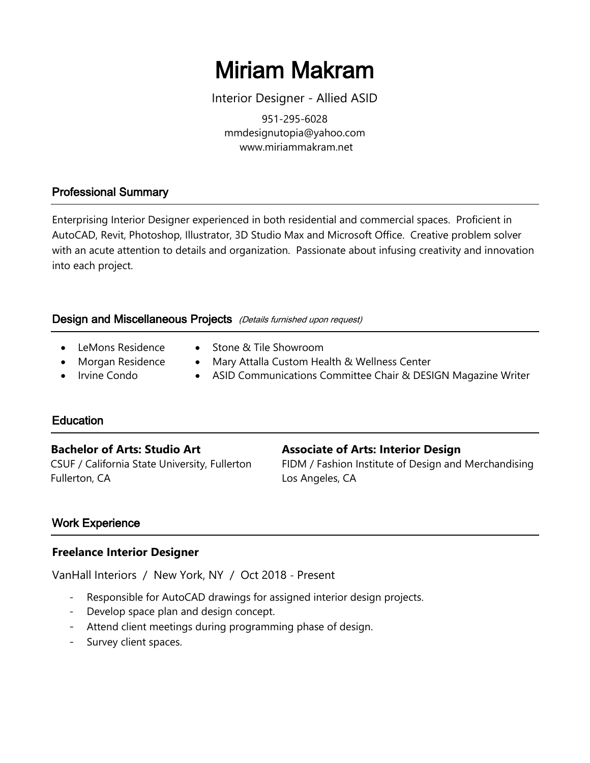# Miriam Makram

Interior Designer - Allied ASID

951-295-6028 mmdesignutopia@yahoo.com www.miriammakram.net

# Professional Summary

Enterprising Interior Designer experienced in both residential and commercial spaces. Proficient in AutoCAD, Revit, Photoshop, Illustrator, 3D Studio Max and Microsoft Office. Creative problem solver with an acute attention to details and organization. Passionate about infusing creativity and innovation into each project.

## Design and Miscellaneous Projects (Details furnished upon request)

- 
- LeMons Residence Stone & Tile Showroom
- 
- 
- Morgan Residence Mary Attalla Custom Health & Wellness Center
- Irvine Condo ASID Communications Committee Chair & DESIGN Magazine Writer

# Education

Fullerton, CA Los Angeles, CA

#### **Bachelor of Arts: Studio Art Associate of Arts: Interior Design**

CSUF / California State University, Fullerton FIDM / Fashion Institute of Design and Merchandising

# Work Experience

#### **Freelance Interior Designer**

VanHall Interiors / New York, NY / Oct 2018 - Present

- Responsible for AutoCAD drawings for assigned interior design projects.
- Develop space plan and design concept.
- Attend client meetings during programming phase of design.
- Survey client spaces.